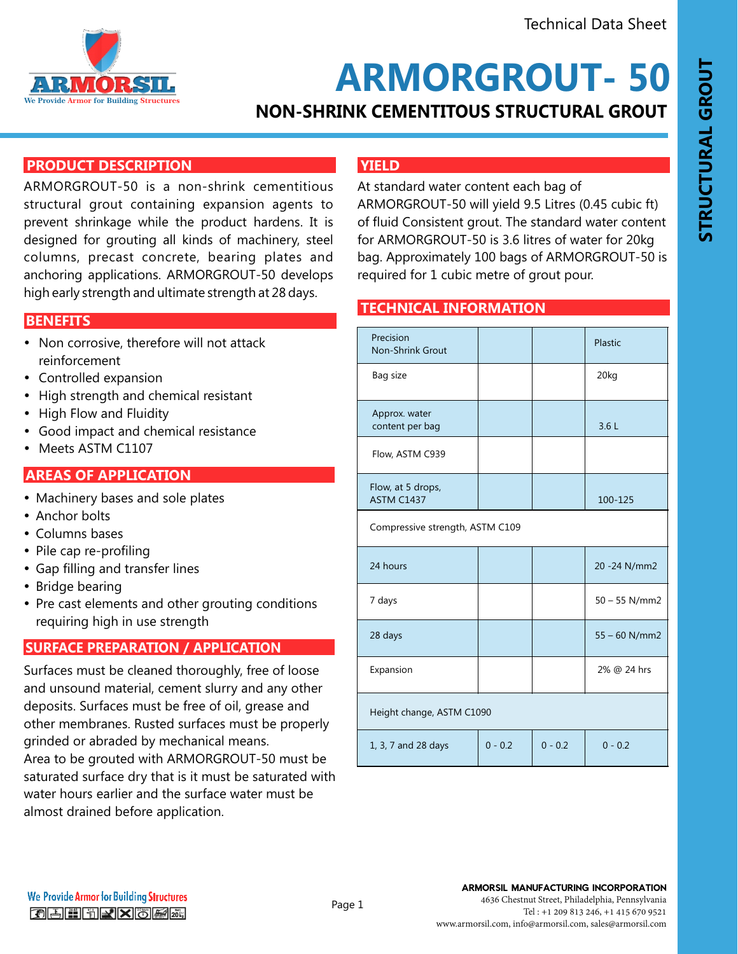

**ARMORGROUT- 50**

# **NON-SHRINK CEMENTITOUS STRUCTURAL GROUT**

### **PRODUCT DESCRIPTION**

ARMORGROUT-50 is a non-shrink cementitious structural grout containing expansion agents to prevent shrinkage while the product hardens. It is designed for grouting all kinds of machinery, steel columns, precast concrete, bearing plates and anchoring applications. ARMORGROUT-50 develops high early strength and ultimate strength at 28 days.

### **FEATURES AND BENEFITS BENEFITS**

- Non corrosive, therefore will not attack reinforcement
- Controlled expansion
- High strength and chemical resistant
- High Flow and Fluidity
- Good impact and chemical resistance
- Meets ASTM C1107

### **AREAS OF APPLICATION**

- Machinery bases and sole plates
- Anchor bolts
- Columns bases
- Pile cap re-profiling
- Gap filling and transfer lines
- Bridge bearing
- Pre cast elements and other grouting conditions requiring high in use strength

### **SURFACE PREPARATION / APPLICATION**

Surfaces must be cleaned thoroughly, free of loose and unsound material, cement slurry and any other deposits. Surfaces must be free of oil, grease and other membranes. Rusted surfaces must be properly grinded or abraded by mechanical means. Area to be grouted with ARMORGROUT-50 must be saturated surface dry that is it must be saturated with water hours earlier and the surface water must be almost drained before application.

# **YIELD**

At standard water content each bag of ARMORGROUT-50 will yield 9.5 Litres (0.45 cubic ft) of fluid Consistent grout. The standard water content for ARMORGROUT-50 is 3.6 litres of water for 20kg bag. Approximately 100 bags of ARMORGROUT-50 is required for 1 cubic metre of grout pour.

#### **TECHNICAL INFORMATION**

| Precision<br><b>Non-Shrink Grout</b> |           |           | Plastic         |
|--------------------------------------|-----------|-----------|-----------------|
| Bag size                             |           |           | 20kg            |
| Approx. water<br>content per bag     |           |           | 3.6L            |
| Flow, ASTM C939                      |           |           |                 |
| Flow, at 5 drops,<br>ASTM C1437      |           |           | 100-125         |
| Compressive strength, ASTM C109      |           |           |                 |
| 24 hours                             |           |           | 20 - 24 N/mm2   |
| 7 days                               |           |           | $50 - 55$ N/mm2 |
| 28 days                              |           |           | $55 - 60$ N/mm2 |
| Expansion                            |           |           | 2% @ 24 hrs     |
| Height change, ASTM C1090            |           |           |                 |
| 1, 3, 7 and 28 days                  | $0 - 0.2$ | $0 - 0.2$ | $0 - 0.2$       |